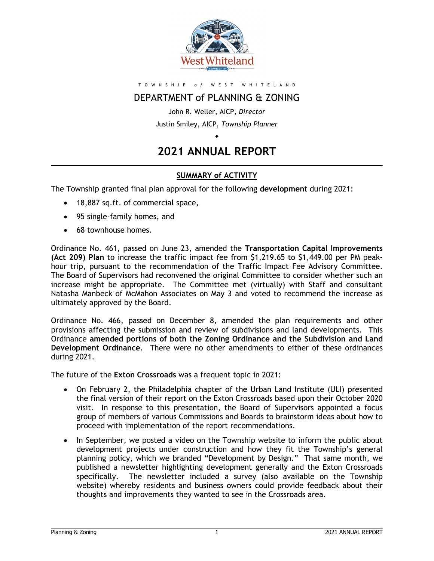

#### T O W N S H I P *o f* W E S T W H I T E L A N D

## DEPARTMENT of PLANNING & ZONING

John R. Weller, AICP, *Director* Justin Smiley, AICP, *Township Planner*

# **2021 ANNUAL REPORT**

 $\bullet$ 

#### **SUMMARY of ACTIVITY**

The Township granted final plan approval for the following **development** during 2021:

- 18,887 sq.ft. of commercial space,
- 95 single-family homes, and
- 68 townhouse homes.

Ordinance No. 461, passed on June 23, amended the **Transportation Capital Improvements (Act 209) Plan** to increase the traffic impact fee from \$1,219.65 to \$1,449.00 per PM peakhour trip, pursuant to the recommendation of the Traffic Impact Fee Advisory Committee. The Board of Supervisors had reconvened the original Committee to consider whether such an increase might be appropriate. The Committee met (virtually) with Staff and consultant Natasha Manbeck of McMahon Associates on May 3 and voted to recommend the increase as ultimately approved by the Board.

Ordinance No. 466, passed on December 8, amended the plan requirements and other provisions affecting the submission and review of subdivisions and land developments. This Ordinance **amended portions of both the Zoning Ordinance and the Subdivision and Land Development Ordinance**. There were no other amendments to either of these ordinances during 2021.

The future of the **Exton Crossroads** was a frequent topic in 2021:

- On February 2, the Philadelphia chapter of the Urban Land Institute (ULI) presented the final version of their report on the Exton Crossroads based upon their October 2020 visit. In response to this presentation, the Board of Supervisors appointed a focus group of members of various Commissions and Boards to brainstorm ideas about how to proceed with implementation of the report recommendations.
- In September, we posted a video on the Township website to inform the public about development projects under construction and how they fit the Township's general planning policy, which we branded "Development by Design." That same month, we published a newsletter highlighting development generally and the Exton Crossroads specifically. The newsletter included a survey (also available on the Township website) whereby residents and business owners could provide feedback about their thoughts and improvements they wanted to see in the Crossroads area.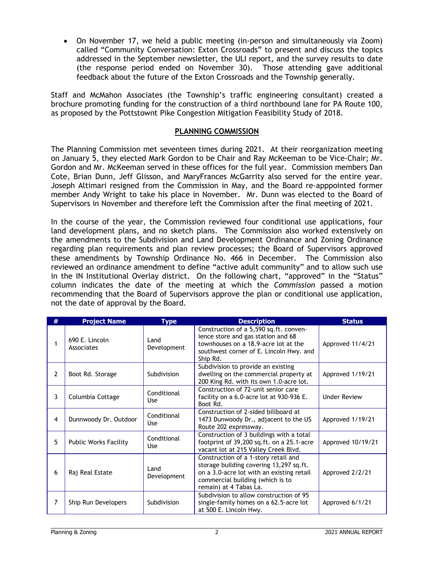• On November 17, we held a public meeting (in-person and simultaneously via Zoom) called "Community Conversation: Exton Crossroads" to present and discuss the topics addressed in the September newsletter, the ULI report, and the survey results to date (the response period ended on November 30). Those attending gave additional feedback about the future of the Exton Crossroads and the Township generally.

Staff and McMahon Associates (the Township's traffic engineering consultant) created a brochure promoting funding for the construction of a third northbound lane for PA Route 100, as proposed by the Pottstownt Pike Congestion Mitigation Feasibility Study of 2018.

#### **PLANNING COMMISSION**

The Planning Commission met seventeen times during 2021. At their reorganization meeting on January 5, they elected Mark Gordon to be Chair and Ray McKeeman to be Vice-Chair; Mr. Gordon and Mr. McKeeman served in these offices for the full year. Commission members Dan Cote, Brian Dunn, Jeff Glisson, and MaryFrances McGarrity also served for the entire year. Joseph Altimari resigned from the Commission in May, and the Board re-apppointed former member Andy Wright to take his place in November. Mr. Dunn was elected to the Board of Supervisors in November and therefore left the Commission after the final meeting of 2021.

In the course of the year, the Commission reviewed four conditional use applications, four land development plans, and no sketch plans. The Commission also worked extensively on the amendments to the Subdivision and Land Development Ordinance and Zoning Ordinance regarding plan requirements and plan review processes; the Board of Supervisors approved these amendments by Township Ordinance No. 466 in December. The Commission also reviewed an ordinance amendment to define "active adult community" and to allow such use in the IN Institutional Overlay district. On the following chart, "approved" in the "Status" column indicates the date of the meeting at which the *Commission* passed a motion recommending that the Board of Supervisors approve the plan or conditional use application, not the date of approval by the Board.

| # | <b>Project Name</b>          | <b>Type</b>         | <b>Description</b>                                                                                                                                                                         | <b>Status</b>       |
|---|------------------------------|---------------------|--------------------------------------------------------------------------------------------------------------------------------------------------------------------------------------------|---------------------|
|   | 690 E. Lincoln<br>Associates | Land<br>Development | Construction of a 5,590 sq.ft. conven-<br>ience store and gas station and 68<br>townhouses on a 18.9-acre lot at the<br>southwest corner of E. Lincoln Hwy. and<br>Ship Rd.                | Approved 11/4/21    |
| 2 | Boot Rd. Storage             | Subdivision         | Subdivision to provide an existing<br>dwelling on the commercial property at<br>200 King Rd. with its own 1.0-acre lot.                                                                    | Approved 1/19/21    |
| 3 | Columbia Cottage             | Conditional<br>Use  | Construction of 72-unit senior care<br>facility on a 6.0-acre lot at 930-936 E.<br>Boot Rd.                                                                                                | <b>Under Review</b> |
| 4 | Dunnwoody Dr. Outdoor        | Conditional<br>Use  | Construction of 2-sided billboard at<br>1473 Dunwoody Dr., adjacent to the US<br>Route 202 expressway.                                                                                     | Approved 1/19/21    |
| 5 | Public Works Facility        | Conditional<br>Use  | Construction of 3 buildings with a total<br>footprint of 39,200 sq.ft. on a 25.1-acre<br>vacant lot at 215 Valley Creek Blvd.                                                              | Approved 10/19/21   |
| 6 | Raj Real Estate              | Land<br>Development | Construction of a 1-story retail and<br>storage building covering 13,297 sq.ft.<br>on a 3.0-acre lot with an existing retail<br>commercial building (which is to<br>remain) at 4 Tabas La. | Approved 2/2/21     |
| 7 | Ship Run Developers          | Subdivision         | Subdivision to allow construction of 95<br>single-family homes on a 62.5-acre lot<br>at 500 E. Lincoln Hwy.                                                                                | Approved 6/1/21     |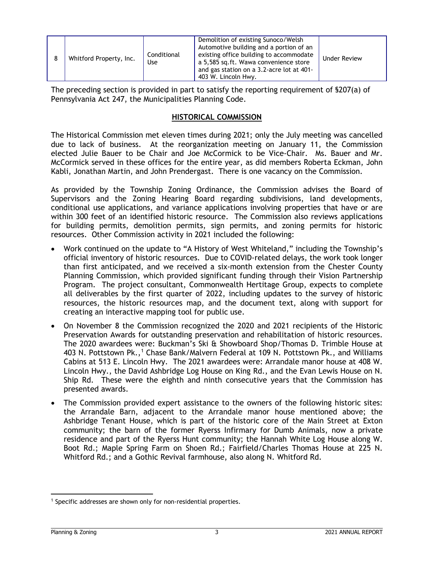|  | Whitford Property, Inc. | Conditional<br>Use | Demolition of existing Sunoco/Welsh<br>Automotive building and a portion of an<br>existing office building to accommodate<br>a 5,585 sq.ft. Wawa convenience store<br>and gas station on a 3.2-acre lot at 401-<br>403 W. Lincoln Hwy. | <b>Under Review</b> |
|--|-------------------------|--------------------|----------------------------------------------------------------------------------------------------------------------------------------------------------------------------------------------------------------------------------------|---------------------|
|--|-------------------------|--------------------|----------------------------------------------------------------------------------------------------------------------------------------------------------------------------------------------------------------------------------------|---------------------|

The preceding section is provided in part to satisfy the reporting requirement of §207(a) of Pennsylvania Act 247, the Municipalities Planning Code.

#### **HISTORICAL COMMISSION**

The Historical Commission met eleven times during 2021; only the July meeting was cancelled due to lack of business. At the reorganization meeting on January 11, the Commission elected Julie Bauer to be Chair and Joe McCormick to be Vice-Chair. Ms. Bauer and Mr. McCormick served in these offices for the entire year, as did members Roberta Eckman, John Kabli, Jonathan Martin, and John Prendergast. There is one vacancy on the Commission.

As provided by the Township Zoning Ordinance, the Commission advises the Board of Supervisors and the Zoning Hearing Board regarding subdivisions, land developments, conditional use applications, and variance applications involving properties that have or are within 300 feet of an identified historic resource. The Commission also reviews applications for building permits, demolition permits, sign permits, and zoning permits for historic resources. Other Commission activity in 2021 included the following:

- Work continued on the update to "A History of West Whiteland," including the Township's official inventory of historic resources. Due to COVID-related delays, the work took longer than first anticipated, and we received a six-month extension from the Chester County Planning Commission, which provided significant funding through their Vision Partnership Program. The project consultant, Commonwealth Hertitage Group, expects to complete all deliverables by the first quarter of 2022, including updates to the survey of historic resources, the historic resources map, and the document text, along with support for creating an interactive mapping tool for public use.
- On November 8 the Commission recognized the 2020 and 2021 recipients of the Historic Preservation Awards for outstanding preservation and rehabilitation of historic resources. The 2020 awardees were: Buckman's Ski & Showboard Shop/Thomas D. Trimble House at 403 N. Pottstown Pk.,<sup>[1](#page-2-0)</sup> Chase Bank/Malvern Federal at 109 N. Pottstown Pk., and Williams Cabins at 513 E. Lincoln Hwy. The 2021 awardees were: Arrandale manor house at 408 W. Lincoln Hwy., the David Ashbridge Log House on King Rd., and the Evan Lewis House on N. Ship Rd. These were the eighth and ninth consecutive years that the Commission has presented awards.
- The Commission provided expert assistance to the owners of the following historic sites: the Arrandale Barn, adjacent to the Arrandale manor house mentioned above; the Ashbridge Tenant House, which is part of the historic core of the Main Street at Exton community; the barn of the former Ryerss Infirmary for Dumb Animals, now a private residence and part of the Ryerss Hunt community; the Hannah White Log House along W. Boot Rd.; Maple Spring Farm on Shoen Rd.; Fairfield/Charles Thomas House at 225 N. Whitford Rd.; and a Gothic Revival farmhouse, also along N. Whitford Rd.

<span id="page-2-0"></span><sup>&</sup>lt;sup>1</sup> Specific addresses are shown only for non-residential properties.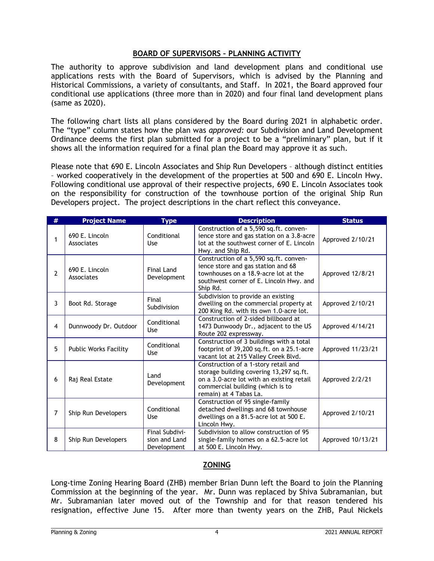#### **BOARD OF SUPERVISORS – PLANNING ACTIVITY**

The authority to approve subdivision and land development plans and conditional use applications rests with the Board of Supervisors, which is advised by the Planning and Historical Commissions, a variety of consultants, and Staff. In 2021, the Board approved four conditional use applications (three more than in 2020) and four final land development plans (same as 2020).

The following chart lists all plans considered by the Board during 2021 in alphabetic order. The "type" column states how the plan was *approved:* our Subdivision and Land Development Ordinance deems the first plan submitted for a project to be a "preliminary" plan, but if it shows all the information required for a final plan the Board may approve it as such.

Please note that 690 E. Lincoln Associates and Ship Run Developers – although distinct entities – worked cooperatively in the development of the properties at 500 and 690 E. Lincoln Hwy. Following conditional use approval of their respective projects, 690 E. Lincoln Associates took on the responsibility for construction of the townhouse portion of the original Ship Run Developers project. The project descriptions in the chart reflect this conveyance.

| #              | <b>Project Name</b>          | <b>Type</b>                                    | <b>Description</b>                                                                                                                                                                         | <b>Status</b>     |
|----------------|------------------------------|------------------------------------------------|--------------------------------------------------------------------------------------------------------------------------------------------------------------------------------------------|-------------------|
|                | 690 E. Lincoln<br>Associates | Conditional<br><b>Use</b>                      | Construction of a 5,590 sq.ft. conven-<br>ience store and gas station on a 3.8-acre<br>lot at the southwest corner of E. Lincoln<br>Hwy. and Ship Rd.                                      | Approved 2/10/21  |
| 2              | 690 E. Lincoln<br>Associates | Final Land<br>Development                      | Construction of a 5,590 sq.ft. conven-<br>ience store and gas station and 68<br>townhouses on a 18.9-acre lot at the<br>southwest corner of E. Lincoln Hwy. and<br>Ship Rd.                | Approved 12/8/21  |
| 3              | Boot Rd. Storage             | Final<br>Subdivision                           | Subdivision to provide an existing<br>dwelling on the commercial property at<br>200 King Rd. with its own 1.0-acre lot.                                                                    | Approved 2/10/21  |
| 4              | Dunnwoody Dr. Outdoor        | Conditional<br>Use                             | Construction of 2-sided billboard at<br>1473 Dunwoody Dr., adjacent to the US<br>Route 202 expressway.                                                                                     | Approved 4/14/21  |
| 5              | <b>Public Works Facility</b> | Conditional<br><b>Use</b>                      | Construction of 3 buildings with a total<br>footprint of 39,200 sq.ft. on a 25.1-acre<br>vacant lot at 215 Valley Creek Blvd.                                                              | Approved 11/23/21 |
| 6              | Raj Real Estate              | Land<br>Development                            | Construction of a 1-story retail and<br>storage building covering 13,297 sq.ft.<br>on a 3.0-acre lot with an existing retail<br>commercial building (which is to<br>remain) at 4 Tabas La. | Approved 2/2/21   |
| $\overline{7}$ | Ship Run Developers          | Conditional<br>Use                             | Construction of 95 single-family<br>detached dwellings and 68 townhouse<br>dwellings on a 81.5-acre lot at 500 E.<br>Lincoln Hwy.                                                          | Approved 2/10/21  |
| 8              | Ship Run Developers          | Final Subdivi-<br>sion and Land<br>Development | Subdivision to allow construction of 95<br>single-family homes on a 62.5-acre lot<br>at 500 E. Lincoln Hwy.                                                                                | Approved 10/13/21 |

## **ZONING**

Long-time Zoning Hearing Board (ZHB) member Brian Dunn left the Board to join the Planning Commission at the beginning of the year. Mr. Dunn was replaced by Shiva Subramanian, but Mr. Subramanian later moved out of the Township and for that reason tendered his resignation, effective June 15. After more than twenty years on the ZHB, Paul Nickels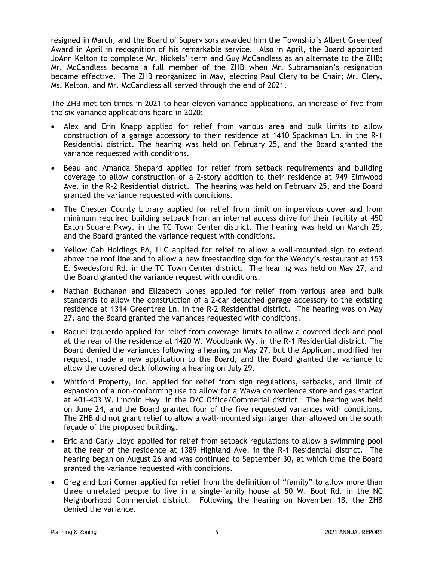resigned in March, and the Board of Supervisors awarded him the Township's Albert Greenleaf Award in April in recognition of his remarkable service. Also in April, the Board appointed JoAnn Kelton to complete Mr. Nickels' term and Guy McCandless as an alternate to the ZHB; Mr. McCandless became a full member of the ZHB when Mr. Subramanian's resignation became effective. The ZHB reorganized in May, electing Paul Clery to be Chair; Mr. Clery, Ms. Kelton, and Mr. McCandless all served through the end of 2021.

The ZHB met ten times in 2021 to hear eleven variance applications, an increase of five from the six variance applications heard in 2020:

- Alex and Erin Knapp applied for relief from various area and bulk limits to allow construction of a garage accessory to their residence at 1410 Spackman Ln. in the R-1 Residential district. The hearing was held on February 25, and the Board granted the variance requested with conditions.
- Beau and Amanda Shepard applied for relief from setback requirements and building coverage to allow construction of a 2-story addition to their residence at 949 Elmwood Ave. in the R-2 Residential district. The hearing was held on February 25, and the Board granted the variance requested with conditions.
- The Chester County Library applied for relief from limit on impervious cover and from minimum required building setback from an internal access drive for their facility at 450 Exton Square Pkwy. in the TC Town Center district. The hearing was held on March 25, and the Board granted the variance request with conditions.
- Yellow Cab Holdings PA, LLC applied for relief to allow a wall-mounted sign to extend above the roof line and to allow a new freestanding sign for the Wendy's restaurant at 153 E. Swedesford Rd. in the TC Town Center district. The hearing was held on May 27, and the Board granted the variance request with conditions.
- Nathan Buchanan and Elizabeth Jones applied for relief from various area and bulk standards to allow the construction of a 2-car detached garage accessory to the existing residence at 1314 Greentree Ln. in the R-2 Residential district. The hearing was on May 27, and the Board granted the variances requested with conditions.
- Raquel Izquierdo applied for relief from coverage limits to allow a covered deck and pool at the rear of the residence at 1420 W. Woodbank Wy. in the R-1 Residential district. The Board denied the variances following a hearing on May 27, but the Applicant modified her request, made a new application to the Board, and the Board granted the variance to allow the covered deck following a hearing on July 29.
- Whitford Property, Inc. applied for relief from sign regulations, setbacks, and limit of expansion of a non-conforming use to allow for a Wawa convenience store and gas station at 401–403 W. Lincoln Hwy. in the O/C Office/Commerial district. The hearing was held on June 24, and the Board granted four of the five requested variances with conditions. The ZHB did not grant relief to allow a wall-mounted sign larger than allowed on the south façade of the proposed building.
- Eric and Carly Lloyd applied for relief from setback regulations to allow a swimming pool at the rear of the residence at 1389 Highland Ave. in the R-1 Residential district. The hearing began on August 26 and was continued to September 30, at which time the Board granted the variance requested with conditions.
- Greg and Lori Corner applied for relief from the definition of "family" to allow more than three unrelated people to live in a single-family house at 50 W. Boot Rd. in the NC Neighborhood Commercial district. Following the hearing on November 18, the ZHB denied the variance.